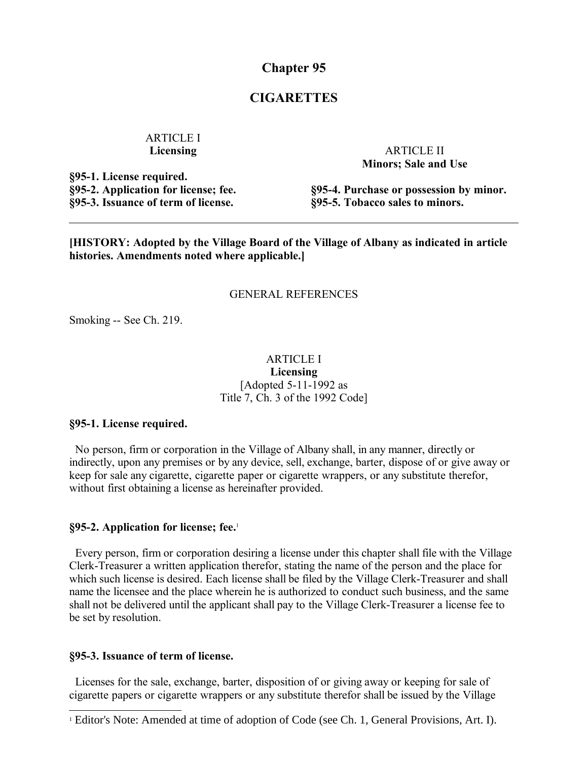**Chapter 95**

# **CIGARETTES**

## ARTICLE I **Licensing**

**§95-1. License required. §95-2. Application for license; fee. §95-3. Issuance of term of license.**

ARTICLE II **Minors; Sale and Use**

**§95-4. Purchase or possession by minor. §95-5. Tobacco sales to minors.**

**[HISTORY: Adopted by the Village Board of the Village of Albany as indicated in article histories. Amendments noted where applicable.]**

#### GENERAL REFERENCES

Smoking -- See Ch. 219.

# ARTICLE I

**Licensing** [Adopted 5-11-1992 as Title 7, Ch. 3 of the 1992 Code]

### **§95-1. License required.**

 No person, firm or corporation in the Village of Albany shall, in any manner, directly or indirectly, upon any premises or by any device, sell, exchange, barter, dispose of or give away or keep for sale any cigarette, cigarette paper or cigarette wrappers, or any substitute therefor, without first obtaining a license as hereinafter provided.

### **§95-2. Application for license; fee.**[1](#page-0-0)

 Every person, firm or corporation desiring a license under this chapter shall file with the Village Clerk-Treasurer a written application therefor, stating the name of the person and the place for which such license is desired. Each license shall be filed by the Village Clerk-Treasurer and shall name the licensee and the place wherein he is authorized to conduct such business, and the same shall not be delivered until the applicant shall pay to the Village Clerk-Treasurer a license fee to be set by resolution.

#### **§95-3. Issuance of term of license.**

 Licenses for the sale, exchange, barter, disposition of or giving away or keeping for sale of cigarette papers or cigarette wrappers or any substitute therefor shall be issued by the Village

<span id="page-0-0"></span><sup>&</sup>lt;sup>1</sup> Editor's Note: Amended at time of adoption of Code (see Ch. 1, General Provisions, Art. I).